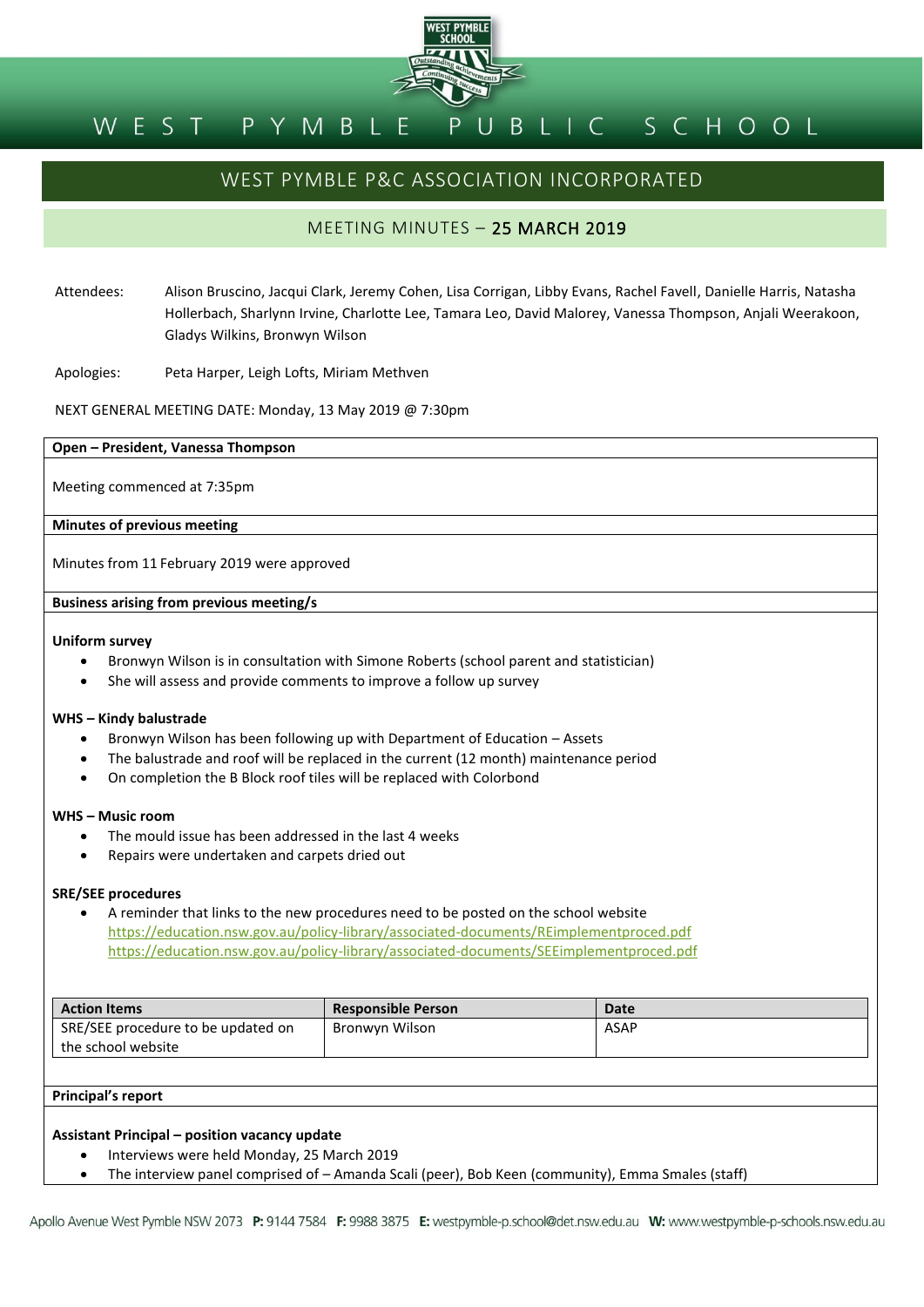

#### BLIC SCHOOL PYMBLE WEST

# WEST PYMBLE P&C ASSOCIATION INCORPORATED

# MEETING MINUTES – 25 MARCH 2019

Attendees: Alison Bruscino, Jacqui Clark, Jeremy Cohen, Lisa Corrigan, Libby Evans, Rachel Favell, Danielle Harris, Natasha Hollerbach, Sharlynn Irvine, Charlotte Lee, Tamara Leo, David Malorey, Vanessa Thompson, Anjali Weerakoon, Gladys Wilkins, Bronwyn Wilson

Apologies: Peta Harper, Leigh Lofts, Miriam Methven

NEXT GENERAL MEETING DATE: Monday, 13 May 2019 @ 7:30pm

#### **Open – President, Vanessa Thompson**

Meeting commenced at 7:35pm

#### **Minutes of previous meeting**

Minutes from 11 February 2019 were approved

#### **Business arising from previous meeting/s**

#### **Uniform survey**

- Bronwyn Wilson is in consultation with Simone Roberts (school parent and statistician)
- She will assess and provide comments to improve a follow up survey

#### **WHS – Kindy balustrade**

- Bronwyn Wilson has been following up with Department of Education Assets
- The balustrade and roof will be replaced in the current (12 month) maintenance period
- On completion the B Block roof tiles will be replaced with Colorbond

#### **WHS – Music room**

- The mould issue has been addressed in the last 4 weeks
- Repairs were undertaken and carpets dried out

#### **SRE/SEE procedures**

 A reminder that links to the new procedures need to be posted on the school website <https://education.nsw.gov.au/policy-library/associated-documents/REimplementproced.pdf> <https://education.nsw.gov.au/policy-library/associated-documents/SEEimplementproced.pdf>

| <b>Action Items</b>                | <b>Responsible Person</b> | Date |
|------------------------------------|---------------------------|------|
| SRE/SEE procedure to be updated on | Bronwyn Wilson            | ASAP |
| the school website                 |                           |      |

# **Principal's report**

#### **Assistant Principal – position vacancy update**

- Interviews were held Monday, 25 March 2019
- The interview panel comprised of Amanda Scali (peer), Bob Keen (community), Emma Smales (staff)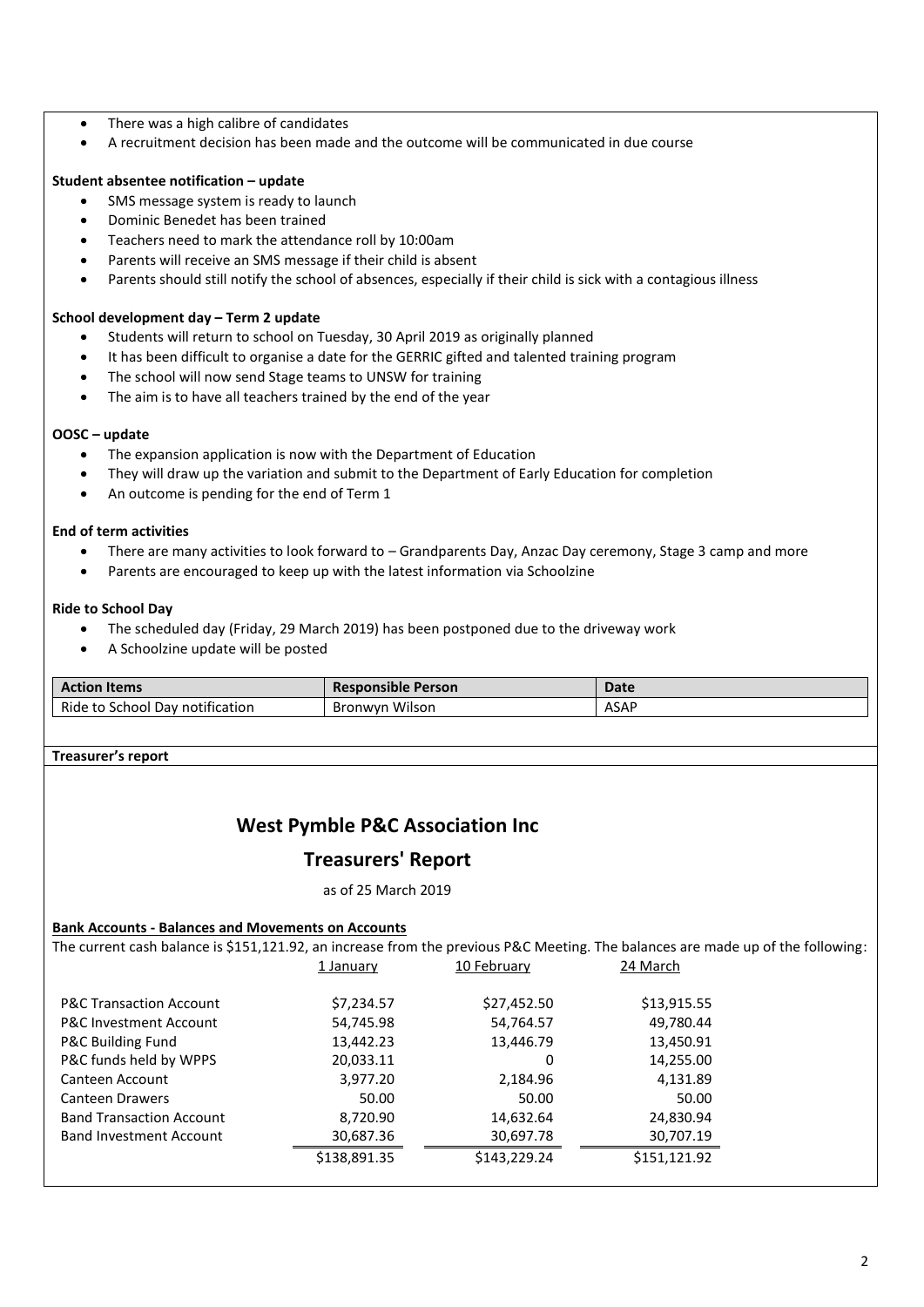- There was a high calibre of candidates
- A recruitment decision has been made and the outcome will be communicated in due course

# **Student absentee notification – update**

- SMS message system is ready to launch
- Dominic Benedet has been trained
- Teachers need to mark the attendance roll by 10:00am
- Parents will receive an SMS message if their child is absent
- Parents should still notify the school of absences, especially if their child is sick with a contagious illness

# **School development day – Term 2 update**

- Students will return to school on Tuesday, 30 April 2019 as originally planned
- It has been difficult to organise a date for the GERRIC gifted and talented training program
- The school will now send Stage teams to UNSW for training
- The aim is to have all teachers trained by the end of the year

## **OOSC – update**

- The expansion application is now with the Department of Education
- They will draw up the variation and submit to the Department of Early Education for completion
- An outcome is pending for the end of Term 1

## **End of term activities**

- There are many activities to look forward to Grandparents Day, Anzac Day ceremony, Stage 3 camp and more
- Parents are encouraged to keep up with the latest information via Schoolzine

## **Ride to School Day**

- The scheduled day (Friday, 29 March 2019) has been postponed due to the driveway work
- A Schoolzine update will be posted

| <b>Action Items</b>             | <b>Responsible Person</b> | Date |
|---------------------------------|---------------------------|------|
| Ride to School Day notification | <b>Bronwyn Wilson</b>     | ASAP |

# **Treasurer's report**

# **West Pymble P&C Association Inc**

# **Treasurers' Report**

as of 25 March 2019

# **Bank Accounts - Balances and Movements on Accounts**

| The current cash balance is \$151,121.92, an increase from the previous P&C Meeting. The balances are made up of the following: |              |              |              |  |
|---------------------------------------------------------------------------------------------------------------------------------|--------------|--------------|--------------|--|
|                                                                                                                                 | 1 January    | 10 February  | 24 March     |  |
|                                                                                                                                 |              |              |              |  |
| <b>P&amp;C Transaction Account</b>                                                                                              | \$7,234.57   | \$27,452.50  | \$13,915.55  |  |
| <b>P&amp;C Investment Account</b>                                                                                               | 54,745.98    | 54,764.57    | 49.780.44    |  |
| P&C Building Fund                                                                                                               | 13,442.23    | 13,446.79    | 13,450.91    |  |
| P&C funds held by WPPS                                                                                                          | 20,033.11    | 0            | 14,255.00    |  |
| Canteen Account                                                                                                                 | 3,977.20     | 2.184.96     | 4,131.89     |  |
| Canteen Drawers                                                                                                                 | 50.00        | 50.00        | 50.00        |  |
| <b>Band Transaction Account</b>                                                                                                 | 8.720.90     | 14,632.64    | 24,830.94    |  |
| <b>Band Investment Account</b>                                                                                                  | 30,687.36    | 30,697.78    | 30,707.19    |  |
|                                                                                                                                 | \$138,891.35 | \$143,229.24 | \$151,121.92 |  |
|                                                                                                                                 |              |              |              |  |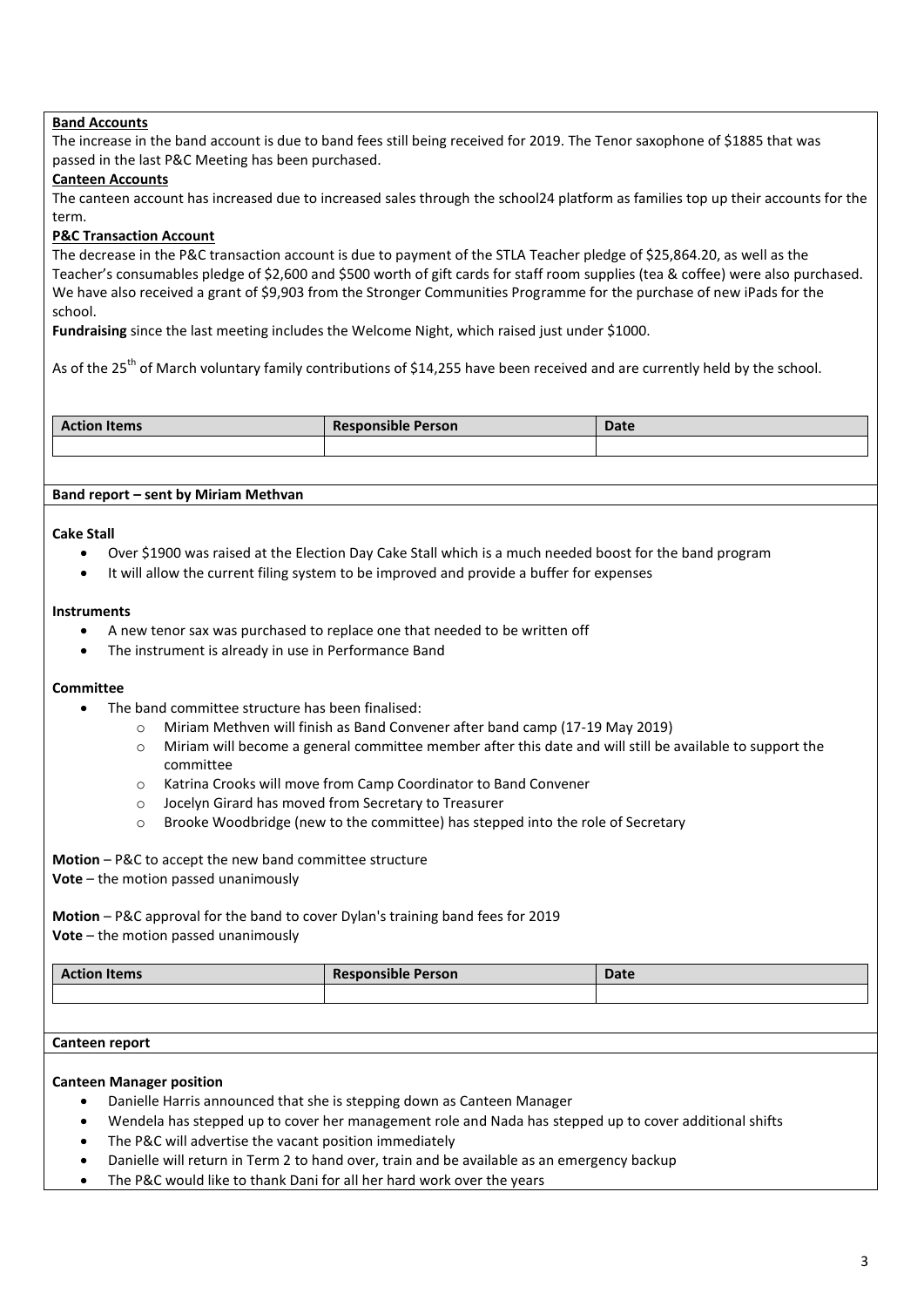# **Band Accounts**

The increase in the band account is due to band fees still being received for 2019. The Tenor saxophone of \$1885 that was passed in the last P&C Meeting has been purchased.

# **Canteen Accounts**

The canteen account has increased due to increased sales through the school24 platform as families top up their accounts for the term.

# **P&C Transaction Account**

The decrease in the P&C transaction account is due to payment of the STLA Teacher pledge of \$25,864.20, as well as the Teacher's consumables pledge of \$2,600 and \$500 worth of gift cards for staff room supplies (tea & coffee) were also purchased. We have also received a grant of \$9,903 from the Stronger Communities Programme for the purchase of new iPads for the school.

**Fundraising** since the last meeting includes the Welcome Night, which raised just under \$1000.

As of the 25<sup>th</sup> of March voluntary family contributions of \$14,255 have been received and are currently held by the school.

| <b>Action Items</b> | <b>Responsible Person</b> | <b>Date</b> |
|---------------------|---------------------------|-------------|
|                     |                           |             |

## **Band report – sent by Miriam Methvan**

#### **Cake Stall**

- Over \$1900 was raised at the Election Day Cake Stall which is a much needed boost for the band program
- It will allow the current filing system to be improved and provide a buffer for expenses

#### **Instruments**

- A new tenor sax was purchased to replace one that needed to be written off
- The instrument is already in use in Performance Band

## **Committee**

- The band committee structure has been finalised:
	- o Miriam Methven will finish as Band Convener after band camp (17-19 May 2019)
	- $\circ$  Miriam will become a general committee member after this date and will still be available to support the committee
	- o Katrina Crooks will move from Camp Coordinator to Band Convener
	- o Jocelyn Girard has moved from Secretary to Treasurer
	- o Brooke Woodbridge (new to the committee) has stepped into the role of Secretary

**Motion** – P&C to accept the new band committee structure **Vote** – the motion passed unanimously

**Motion** – P&C approval for the band to cover Dylan's training band fees for 2019 **Vote** – the motion passed unanimously

| <b>Action Items</b> | <b>Responsible Person</b> | <b>Date</b> |
|---------------------|---------------------------|-------------|
|                     |                           |             |

#### **Canteen report**

#### **Canteen Manager position**

- Danielle Harris announced that she is stepping down as Canteen Manager
- Wendela has stepped up to cover her management role and Nada has stepped up to cover additional shifts
- The P&C will advertise the vacant position immediately
- Danielle will return in Term 2 to hand over, train and be available as an emergency backup
- The P&C would like to thank Dani for all her hard work over the years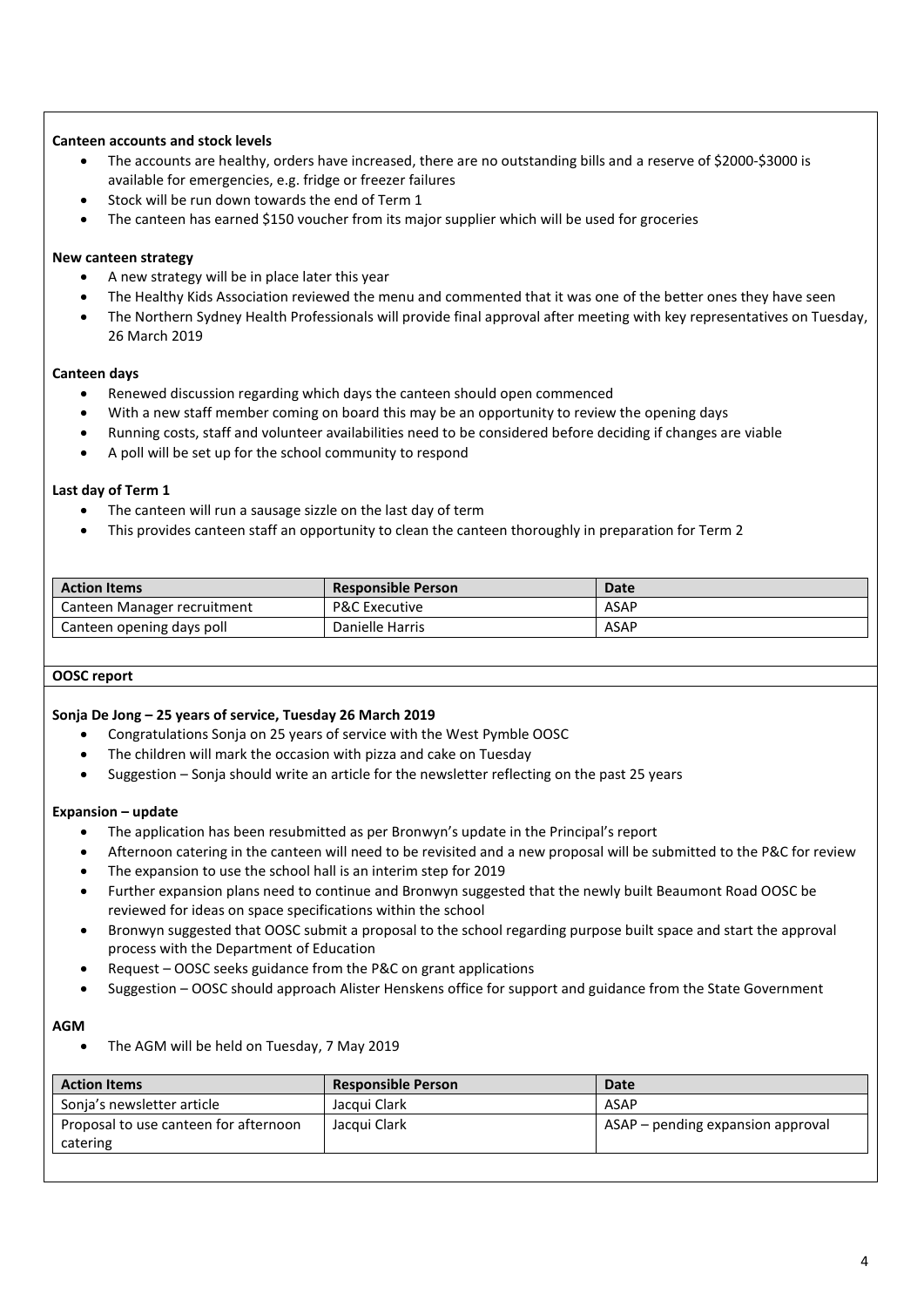# **Canteen accounts and stock levels**

- The accounts are healthy, orders have increased, there are no outstanding bills and a reserve of \$2000-\$3000 is available for emergencies, e.g. fridge or freezer failures
- Stock will be run down towards the end of Term 1
- The canteen has earned \$150 voucher from its major supplier which will be used for groceries

## **New canteen strategy**

- A new strategy will be in place later this year
- The Healthy Kids Association reviewed the menu and commented that it was one of the better ones they have seen
- The Northern Sydney Health Professionals will provide final approval after meeting with key representatives on Tuesday, 26 March 2019

# **Canteen days**

- Renewed discussion regarding which days the canteen should open commenced
- With a new staff member coming on board this may be an opportunity to review the opening days
- Running costs, staff and volunteer availabilities need to be considered before deciding if changes are viable
- A poll will be set up for the school community to respond

## **Last day of Term 1**

- The canteen will run a sausage sizzle on the last day of term
- This provides canteen staff an opportunity to clean the canteen thoroughly in preparation for Term 2

| <b>Action Items</b>         | <b>Responsible Person</b> | Date |
|-----------------------------|---------------------------|------|
| Canteen Manager recruitment | <b>P&amp;C Executive</b>  | ASAP |
| Canteen opening days poll   | Danielle Harris           | ASAP |

## **OOSC report**

## **Sonja De Jong – 25 years of service, Tuesday 26 March 2019**

- Congratulations Sonja on 25 years of service with the West Pymble OOSC
- The children will mark the occasion with pizza and cake on Tuesday
- Suggestion Sonja should write an article for the newsletter reflecting on the past 25 years

## **Expansion – update**

- The application has been resubmitted as per Bronwyn's update in the Principal's report
- Afternoon catering in the canteen will need to be revisited and a new proposal will be submitted to the P&C for review
- The expansion to use the school hall is an interim step for 2019
- Further expansion plans need to continue and Bronwyn suggested that the newly built Beaumont Road OOSC be reviewed for ideas on space specifications within the school
- Bronwyn suggested that OOSC submit a proposal to the school regarding purpose built space and start the approval process with the Department of Education
- Request OOSC seeks guidance from the P&C on grant applications
- Suggestion OOSC should approach Alister Henskens office for support and guidance from the State Government

# **AGM**

The AGM will be held on Tuesday, 7 May 2019

| <b>Action Items</b>                               | <b>Responsible Person</b> | <b>Date</b>                       |
|---------------------------------------------------|---------------------------|-----------------------------------|
| Sonja's newsletter article                        | Jacqui Clark              | ASAP                              |
| Proposal to use canteen for afternoon<br>catering | Jacqui Clark              | ASAP – pending expansion approval |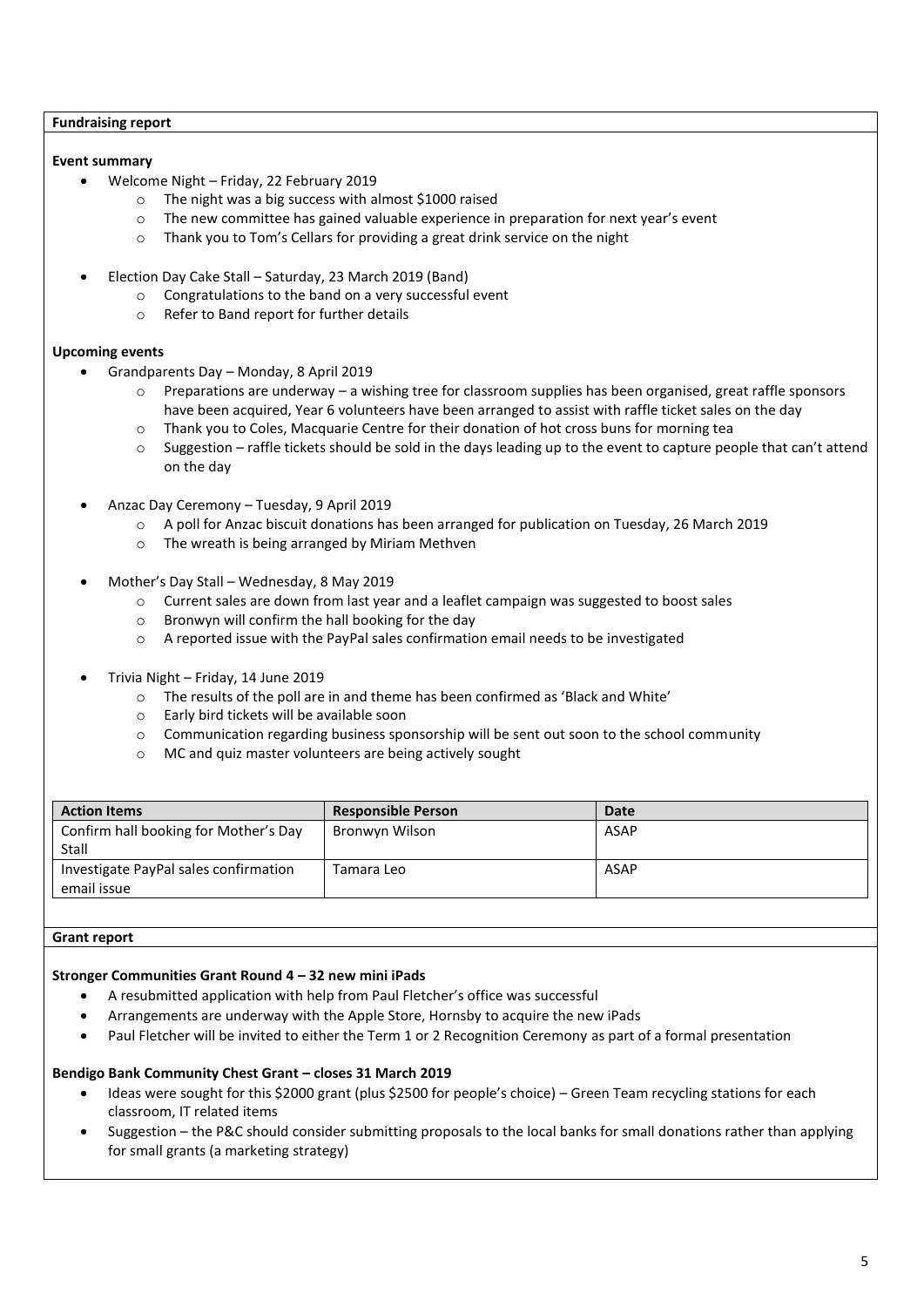#### **Fundraising report**

# **Event summary**

- Welcome Night Friday, 22 February 2019
	- o The night was a big success with almost \$1000 raised
	- o The new committee has gained valuable experience in preparation for next year's event
	- o Thank you to Tom's Cellars for providing a great drink service on the night
- Election Day Cake Stall Saturday, 23 March 2019 (Band)
	- o Congratulations to the band on a very successful event
	- o Refer to Band report for further details

# **Upcoming events**

- Grandparents Day Monday, 8 April 2019
	- o Preparations are underway a wishing tree for classroom supplies has been organised, great raffle sponsors have been acquired, Year 6 volunteers have been arranged to assist with raffle ticket sales on the day
	- o Thank you to Coles, Macquarie Centre for their donation of hot cross buns for morning tea
	- o Suggestion raffle tickets should be sold in the days leading up to the event to capture people that can't attend on the day
- Anzac Day Ceremony Tuesday, 9 April 2019
	- o A poll for Anzac biscuit donations has been arranged for publication on Tuesday, 26 March 2019
	- o The wreath is being arranged by Miriam Methven
- Mother's Day Stall Wednesday, 8 May 2019
	- o Current sales are down from last year and a leaflet campaign was suggested to boost sales
	- o Bronwyn will confirm the hall booking for the day
	- o A reported issue with the PayPal sales confirmation email needs to be investigated
- Trivia Night Friday, 14 June 2019
	- o The results of the poll are in and theme has been confirmed as 'Black and White'
	- o Early bird tickets will be available soon
	- o Communication regarding business sponsorship will be sent out soon to the school community
	- o MC and quiz master volunteers are being actively sought

| <b>Action Items</b>                                  | <b>Responsible Person</b> | <b>Date</b> |
|------------------------------------------------------|---------------------------|-------------|
| Confirm hall booking for Mother's Day<br>Stall       | Bronwyn Wilson            | <b>ASAP</b> |
| Investigate PayPal sales confirmation<br>email issue | Tamara Leo                | ASAP        |

## **Grant report**

# **Stronger Communities Grant Round 4 – 32 new mini iPads**

- A resubmitted application with help from Paul Fletcher's office was successful
- Arrangements are underway with the Apple Store, Hornsby to acquire the new iPads
- Paul Fletcher will be invited to either the Term 1 or 2 Recognition Ceremony as part of a formal presentation

# **Bendigo Bank Community Chest Grant – closes 31 March 2019**

- Ideas were sought for this \$2000 grant (plus \$2500 for people's choice) Green Team recycling stations for each classroom, IT related items
- Suggestion the P&C should consider submitting proposals to the local banks for small donations rather than applying for small grants (a marketing strategy)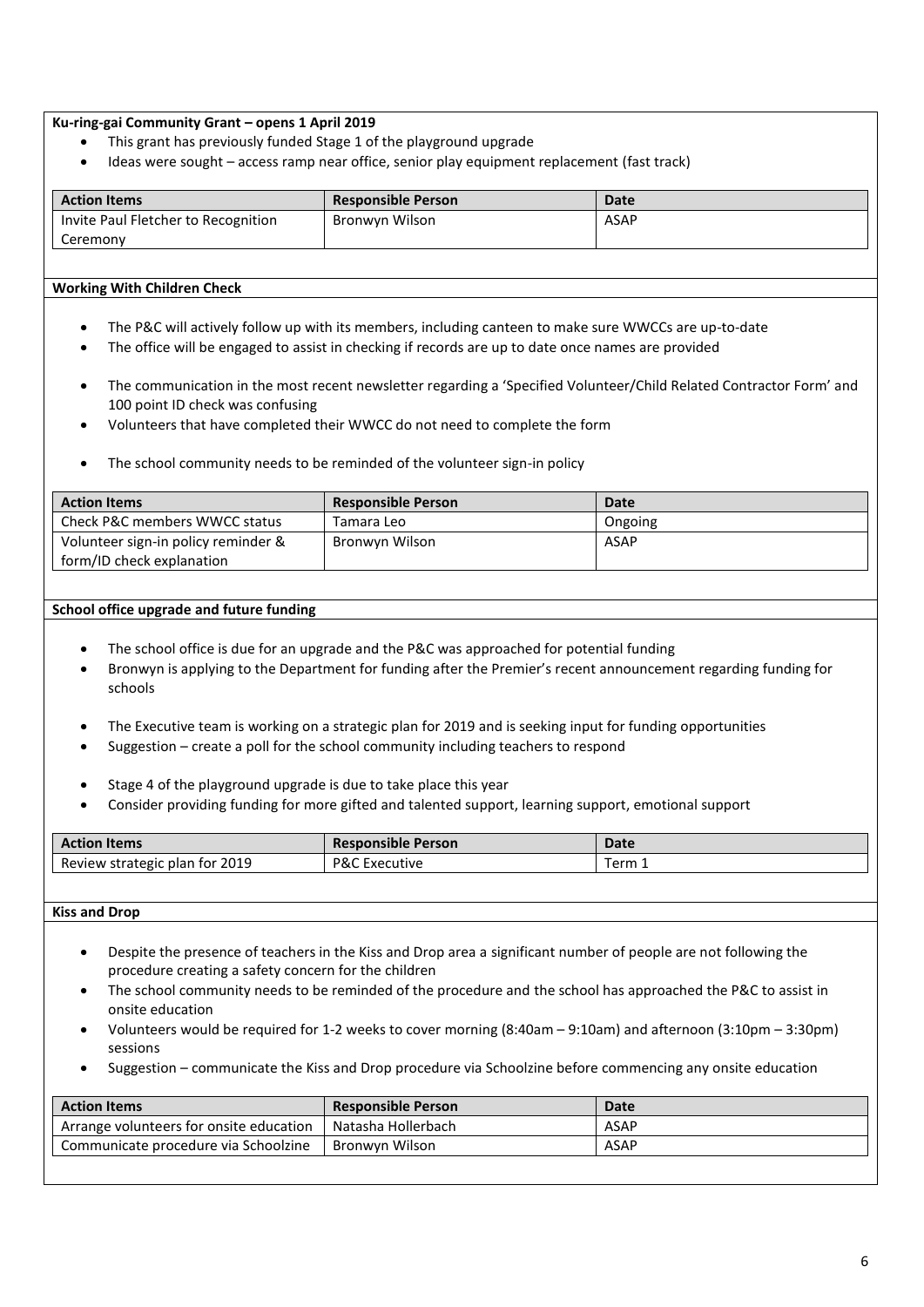### **Ku-ring-gai Community Grant – opens 1 April 2019**

- This grant has previously funded Stage 1 of the playground upgrade
- Ideas were sought access ramp near office, senior play equipment replacement (fast track)

| <b>Action Items</b>                 | <b>Responsible Person</b> | <b>Date</b> |
|-------------------------------------|---------------------------|-------------|
| Invite Paul Fletcher to Recognition | Bronwyn Wilson            | ASAP        |
| Ceremony                            |                           |             |

#### **Working With Children Check**

- The P&C will actively follow up with its members, including canteen to make sure WWCCs are up-to-date
- The office will be engaged to assist in checking if records are up to date once names are provided
- The communication in the most recent newsletter regarding a 'Specified Volunteer/Child Related Contractor Form' and 100 point ID check was confusing
- Volunteers that have completed their WWCC do not need to complete the form
- The school community needs to be reminded of the volunteer sign-in policy

| <b>Action Items</b>                 | <b>Responsible Person</b> | <b>Date</b> |
|-------------------------------------|---------------------------|-------------|
| Check P&C members WWCC status       | Tamara Leo                | Ongoing     |
| Volunteer sign-in policy reminder & | Bronwyn Wilson            | ASAP        |
| form/ID check explanation           |                           |             |

#### **School office upgrade and future funding**

- The school office is due for an upgrade and the P&C was approached for potential funding
- Bronwyn is applying to the Department for funding after the Premier's recent announcement regarding funding for schools
- The Executive team is working on a strategic plan for 2019 and is seeking input for funding opportunities
- Suggestion create a poll for the school community including teachers to respond
- Stage 4 of the playground upgrade is due to take place this year
- Consider providing funding for more gifted and talented support, learning support, emotional support

| <b>Action Items</b>            | <b>Responsible Person</b> | Date |
|--------------------------------|---------------------------|------|
| Review strategic plan for 2019 | P&C<br>Executive          | erm  |

# **Kiss and Drop**

- Despite the presence of teachers in the Kiss and Drop area a significant number of people are not following the procedure creating a safety concern for the children
- The school community needs to be reminded of the procedure and the school has approached the P&C to assist in onsite education
- Volunteers would be required for 1-2 weeks to cover morning (8:40am 9:10am) and afternoon (3:10pm 3:30pm) sessions
- Suggestion communicate the Kiss and Drop procedure via Schoolzine before commencing any onsite education

| <b>Action Items</b>                     | <b>Responsible Person</b> | <b>Date</b> |
|-----------------------------------------|---------------------------|-------------|
| Arrange volunteers for onsite education | Natasha Hollerbach        | ASAP        |
| Communicate procedure via Schoolzine    | Bronwyn Wilson            | ASAP        |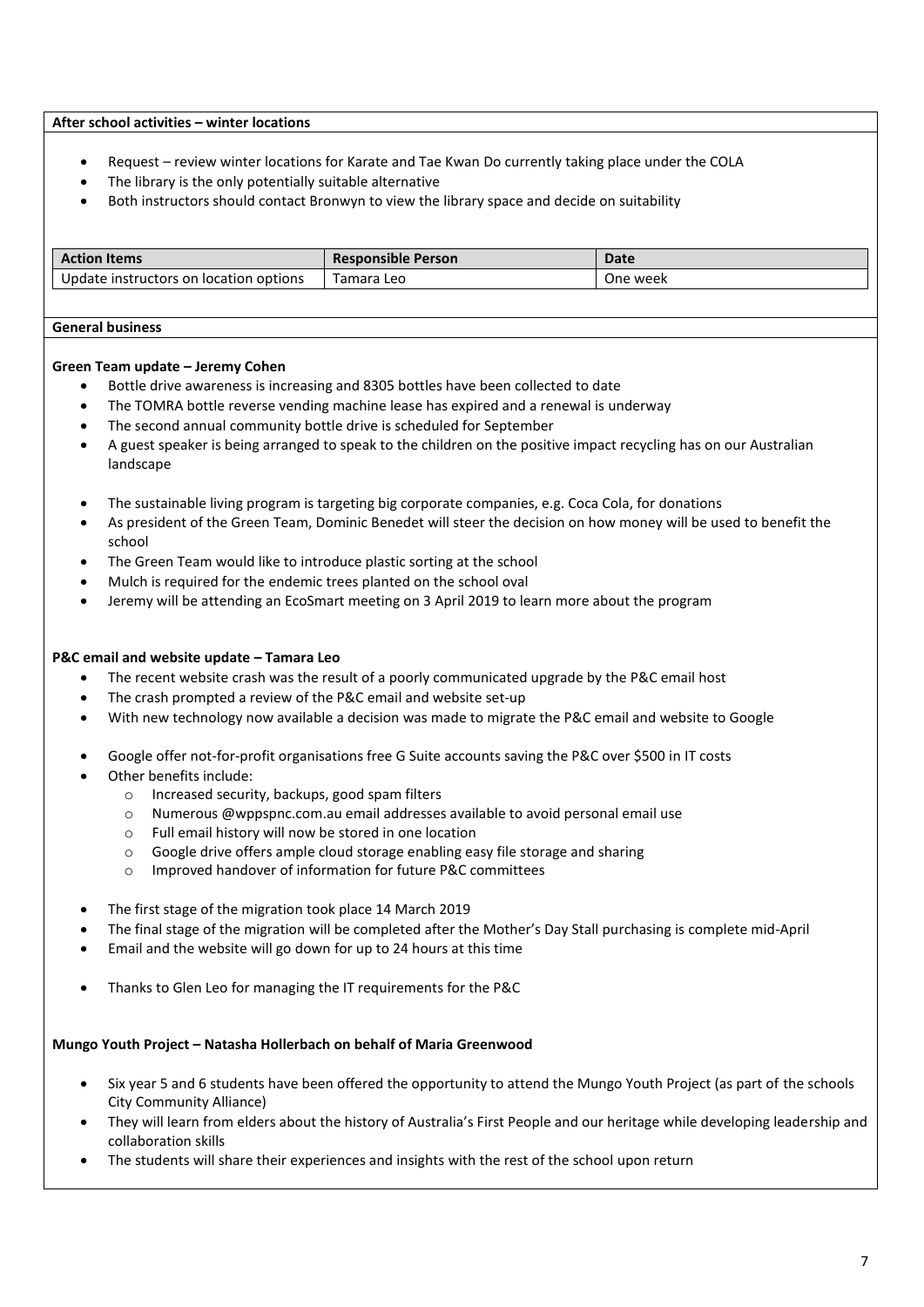#### **After school activities – winter locations**

- Request review winter locations for Karate and Tae Kwan Do currently taking place under the COLA
- The library is the only potentially suitable alternative
- Both instructors should contact Bronwyn to view the library space and decide on suitability

| tion Items:                                 | Responsible Person | Date     |
|---------------------------------------------|--------------------|----------|
| Update instructors<br>on location options ; | Tamara<br>Leo      | One week |

#### **General business**

#### **Green Team update – Jeremy Cohen**

- Bottle drive awareness is increasing and 8305 bottles have been collected to date
- The TOMRA bottle reverse vending machine lease has expired and a renewal is underway
- The second annual community bottle drive is scheduled for September
- A guest speaker is being arranged to speak to the children on the positive impact recycling has on our Australian landscape
- The sustainable living program is targeting big corporate companies, e.g. Coca Cola, for donations
- As president of the Green Team, Dominic Benedet will steer the decision on how money will be used to benefit the school
- The Green Team would like to introduce plastic sorting at the school
- Mulch is required for the endemic trees planted on the school oval
- Jeremy will be attending an EcoSmart meeting on 3 April 2019 to learn more about the program

#### **P&C email and website update – Tamara Leo**

- The recent website crash was the result of a poorly communicated upgrade by the P&C email host
- The crash prompted a review of the P&C email and website set-up
- With new technology now available a decision was made to migrate the P&C email and website to Google
- Google offer not-for-profit organisations free G Suite accounts saving the P&C over \$500 in IT costs
- Other benefits include:
	- o Increased security, backups, good spam filters
	- o Numerous @wppspnc.com.au email addresses available to avoid personal email use
	- o Full email history will now be stored in one location
	- o Google drive offers ample cloud storage enabling easy file storage and sharing
	- Improved handover of information for future P&C committees
- The first stage of the migration took place 14 March 2019
- The final stage of the migration will be completed after the Mother's Day Stall purchasing is complete mid-April
- Email and the website will go down for up to 24 hours at this time
- Thanks to Glen Leo for managing the IT requirements for the P&C

# **Mungo Youth Project – Natasha Hollerbach on behalf of Maria Greenwood**

- Six year 5 and 6 students have been offered the opportunity to attend the Mungo Youth Project (as part of the schools City Community Alliance)
- They will learn from elders about the history of Australia's First People and our heritage while developing leadership and collaboration skills
- The students will share their experiences and insights with the rest of the school upon return